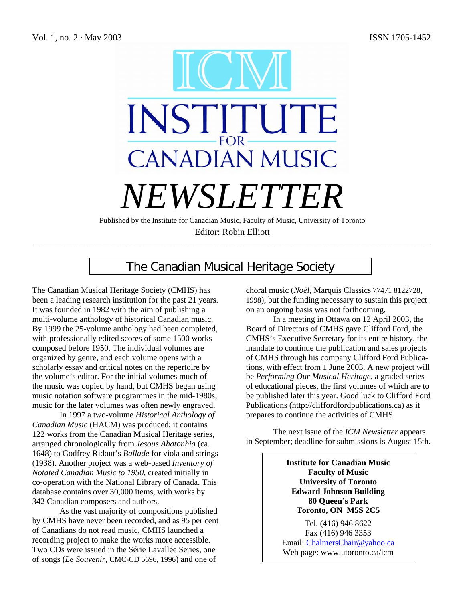

Published by the Institute for Canadian Music, Faculty of Music, University of Toronto Editor: Robin Elliott

\_\_\_\_\_\_\_\_\_\_\_\_\_\_\_\_\_\_\_\_\_\_\_\_\_\_\_\_\_\_\_\_\_\_\_\_\_\_\_\_\_\_\_\_\_\_\_\_\_\_\_\_\_\_\_\_\_\_\_\_\_\_\_\_\_\_\_\_\_\_\_\_\_\_\_\_\_\_\_\_\_\_\_\_\_\_\_

# The Canadian Musical Heritage Society

The Canadian Musical Heritage Society (CMHS) has been a leading research institution for the past 21 years. It was founded in 1982 with the aim of publishing a multi-volume anthology of historical Canadian music. By 1999 the 25-volume anthology had been completed, with professionally edited scores of some 1500 works composed before 1950. The individual volumes are organized by genre, and each volume opens with a scholarly essay and critical notes on the repertoire by the volume's editor. For the initial volumes much of the music was copied by hand, but CMHS began using music notation software programmes in the mid-1980s; music for the later volumes was often newly engraved.

In 1997 a two-volume *Historical Anthology of Canadian Music* (HACM) was produced; it contains 122 works from the Canadian Musical Heritage series, arranged chronologically from *Jesous Ahatonhia* (ca. 1648) to Godfrey Ridout's *Ballade* for viola and strings (1938). Another project was a web-based *Inventory of Notated Canadian Music to 1950*, created initially in co-operation with the National Library of Canada. This database contains over 30,000 items, with works by 342 Canadian composers and authors.

As the vast majority of compositions published by CMHS have never been recorded, and as 95 per cent of Canadians do not read music, CMHS launched a recording project to make the works more accessible. Two CDs were issued in the Série Lavallée Series, one of songs (*Le Souvenir*, CMC-CD 5696, 1996) and one of

choral music (*Noël*, Marquis Classics 77471 8122728, 1998), but the funding necessary to sustain this project on an ongoing basis was not forthcoming.

In a meeting in Ottawa on 12 April 2003, the Board of Directors of CMHS gave Clifford Ford, the CMHS's Executive Secretary for its entire history, the mandate to continue the publication and sales projects of CMHS through his company Clifford Ford Publications, with effect from 1 June 2003. A new project will be *Performing Our Musical Heritage*, a graded series of educational pieces, the first volumes of which are to be published later this year. Good luck to Clifford Ford Publications (http://cliffordfordpublications.ca) as it prepares to continue the activities of CMHS.

The next issue of the *ICM Newsletter* appears in September; deadline for submissions is August 15th.

> **Institute for Canadian Music Faculty of Music University of Toronto Edward Johnson Building 80 Queen's Park Toronto, ON M5S 2C5**

Tel. (416) 946 8622 Fax (416) 946 3353 Email: ChalmersChair@yahoo.ca Web page: www.utoronto.ca/icm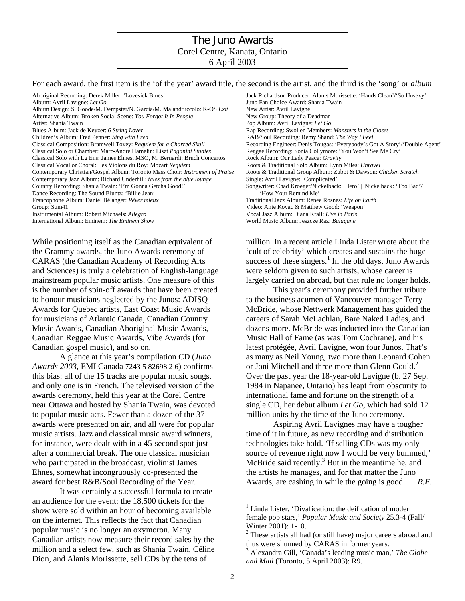## The Juno Awards Corel Centre, Kanata, Ontario 6 April 2003

For each award, the first item is the 'of the year' award title, the second is the artist, and the third is the 'song' or *album*

| Aboriginal Recording: Derek Miller: 'Lovesick Blues'                          | Jack Richardson Producer: Alanis Morissette: 'Hands Clean'/'So Unsexy'     |
|-------------------------------------------------------------------------------|----------------------------------------------------------------------------|
| Album: Avril Lavigne: Let Go                                                  | Juno Fan Choice Award: Shania Twain                                        |
| Album Design: S. Goode/M. Dempster/N. Garcia/M. Malandruccolo: K-OS Exit      | New Artist: Avril Lavigne                                                  |
| Alternative Album: Broken Social Scene: You Forgot It In People               | New Group: Theory of a Deadman                                             |
| Artist: Shania Twain                                                          | Pop Album: Avril Lavigne: Let Go                                           |
| Blues Album: Jack de Keyzer: 6 String Lover                                   | Rap Recording: Swollen Members: Monsters in the Closet                     |
| Children's Album: Fred Penner: Sing with Fred                                 | R&B/Soul Recording: Remy Shand: The Way I Feel                             |
| Classical Composition: Bramwell Tovey: Requiem for a Charred Skull            | Recording Engineer: Denis Tougas: 'Everybody's Got A Story'/'Double Agent' |
| Classical Solo or Chamber: Marc-André Hamelin: Liszt Paganini Studies         | Reggae Recording: Sonia Collymore: 'You Won't See Me Cry'                  |
| Classical Solo with Lg Ens: James Ehnes, MSO, M. Bernardi: Bruch Concertos    | Rock Album: Our Lady Peace: Gravity                                        |
| Classical Vocal or Choral: Les Violons du Roy: Mozart Requiem                 | Roots & Traditional Solo Album: Lynn Miles: Unravel                        |
| Contemporary Christian/Gospel Album: Toronto Mass Choir: Instrument of Praise | Roots & Traditional Group Album: Zubot & Dawson: Chicken Scratch           |
| Contemporary Jazz Album: Richard Underhill: <i>tales from the blue lounge</i> | Single: Avril Lavigne: 'Complicated'                                       |
| Country Recording: Shania Twain: 'I'm Gonna Getcha Good!'                     | Songwriter: Chad Kroeger/Nickelback: 'Hero'   Nickelback: 'Too Bad'/       |
| Dance Recording: The Sound Bluntz: 'Billie Jean'                              | 'How Your Remind Me'                                                       |
| Francophone Album: Daniel Bélanger: Rêver mieux                               | Traditional Jazz Album: Renee Rosnes: Life on Earth                        |
| Group: Sum41                                                                  | Video: Ante Kovac & Matthew Good: 'Weapon'                                 |
| Instrumental Album: Robert Michaels: Allegro                                  | Vocal Jazz Album: Diana Krall: Live in Paris                               |
| International Album: Eminem: The Eminem Show                                  | World Music Album: Jeszcze Raz: Balagane                                   |

While positioning itself as the Canadian equivalent of the Grammy awards, the Juno Awards ceremony of CARAS (the Canadian Academy of Recording Arts and Sciences) is truly a celebration of English-language mainstream popular music artists. One measure of this is the number of spin-off awards that have been created to honour musicians neglected by the Junos: ADISQ Awards for Quebec artists, East Coast Music Awards for musicians of Atlantic Canada, Canadian Country Music Awards, Canadian Aboriginal Music Awards, Canadian Reggae Music Awards, Vibe Awards (for Canadian gospel music), and so on.

A glance at this year's compilation CD (*Juno Awards 2003*, EMI Canada 7243 5 82698 2 6) confirms this bias: all of the 15 tracks are popular music songs, and only one is in French. The televised version of the awards ceremony, held this year at the Corel Centre near Ottawa and hosted by Shania Twain, was devoted to popular music acts. Fewer than a dozen of the 37 awards were presented on air, and all were for popular music artists. Jazz and classical music award winners, for instance, were dealt with in a 45-second spot just after a commercial break. The one classical musician who participated in the broadcast, violinist James Ehnes, somewhat incongruously co-presented the award for best R&B/Soul Recording of the Year.

It was certainly a successful formula to create an audience for the event: the 18,500 tickets for the show were sold within an hour of becoming available on the internet. This reflects the fact that Canadian popular music is no longer an oxymoron. Many Canadian artists now measure their record sales by the million and a select few, such as Shania Twain, Céline Dion, and Alanis Morissette, sell CDs by the tens of

million. In a recent article Linda Lister wrote about the 'cult of celebrity' which creates and sustains the huge success of these singers. $<sup>1</sup>$  In the old days, Juno Awards</sup> were seldom given to such artists, whose career is largely carried on abroad, but that rule no longer holds.

This year's ceremony provided further tribute to the business acumen of Vancouver manager Terry McBride, whose Nettwerk Management has guided the careers of Sarah McLachlan, Bare Naked Ladies, and dozens more. McBride was inducted into the Canadian Music Hall of Fame (as was Tom Cochrane), and his latest protégée, Avril Lavigne, won four Junos. That's as many as Neil Young, two more than Leonard Cohen or Joni Mitchell and three more than Glenn Gould.<sup>2</sup> Over the past year the 18-year-old Lavigne (b. 27 Sep. 1984 in Napanee, Ontario) has leapt from obscurity to international fame and fortune on the strength of a single CD, her debut album *Let Go*, which had sold 12 million units by the time of the Juno ceremony.

Aspiring Avril Lavignes may have a tougher time of it in future, as new recording and distribution technologies take hold. 'If selling CDs was my only source of revenue right now I would be very bummed,' McBride said recently. $3$  But in the meantime he, and the artists he manages, and for that matter the Juno Awards, are cashing in while the going is good. *R.E.*

 $\overline{a}$ 

<sup>&</sup>lt;sup>1</sup> Linda Lister, 'Divafication: the deification of modern female pop stars,' *Popular Music and Society* 25.3-4 (Fall/ Winter 2001): 1-10.

<sup>&</sup>lt;sup>2</sup> These artists all had (or still have) major careers abroad and thus were shunned by CARAS in former years.

<sup>3</sup> Alexandra Gill, 'Canada's leading music man,' *The Globe and Mail* (Toronto, 5 April 2003): R9.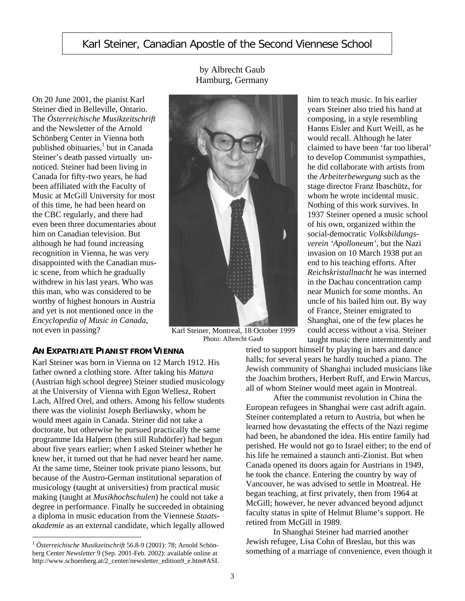## Karl Steiner, Canadian Apostle of the Second Viennese School

by Albrecht Gaub Hamburg, Germany

On 20 June 2001, the pianist Karl Steiner died in Belleville, Ontario. The *Österreichische Musikzeitschrift*  and the Newsletter of the Arnold Schönberg Center in Vienna both published obituaries,<sup>1</sup> but in Canada Steiner's death passed virtually unnoticed. Steiner had been living in Canada for fifty-two years, he had been affiliated with the Faculty of Music at McGill University for most of this time, he had been heard on the CBC regularly, and there had even been three documentaries about him on Canadian television. But although he had found increasing recognition in Vienna, he was very disappointed with the Canadian music scene, from which he gradually withdrew in his last years. Who was this man, who was considered to be worthy of highest honours in Austria and yet is not mentioned once in the *Encyclopedia of Music in Canada*, not even in passing?<br>
Karl Steiner, Montreal, 18 October 1999

Photo: Albrecht Gaub

## **AN EXPATRIATE PIANIST FROM VIENNA**

Karl Steiner was born in Vienna on 12 March 1912. His father owned a clothing store. After taking his *Matura* (Austrian high school degree) Steiner studied musicology at the University of Vienna with Egon Wellesz, Robert Lach, Alfred Orel, and others. Among his fellow students there was the violinist Joseph Berliawsky, whom he would meet again in Canada. Steiner did not take a doctorate, but otherwise he pursued practically the same programme Ida Halpern (then still Ruhdörfer) had begun about five years earlier; when I asked Steiner whether he knew her, it turned out that he had never heard her name. At the same time, Steiner took private piano lessons, but because of the Austro-German institutional separation of musicology (taught at universities) from practical music making (taught at *Musikhochschulen*) he could not take a degree in performance. Finally he succeeded in obtaining a diploma in music education from the Viennese *Staatsakademie* as an external candidate, which legally allowed

 $\overline{a}$ 

him to teach music. In his earlier years Steiner also tried his hand at composing, in a style resembling Hanns Eisler and Kurt Weill, as he would recall. Although he later claimed to have been 'far too liberal' to develop Communist sympathies, he did collaborate with artists from the *Arbeiterbewegung* such as the stage director Franz Ibaschütz, for whom he wrote incidental music. Nothing of this work survives. In 1937 Steiner opened a music school of his own, organized within the social-democratic *Volksbildungsverein 'Apolloneum'*, but the Nazi invasion on 10 March 1938 put an end to his teaching efforts. After *Reichskristallnacht* he was interned in the Dachau concentration camp near Munich for some months. An uncle of his bailed him out. By way of France, Steiner emigrated to Shanghai, one of the few places he could access without a visa. Steiner taught music there intermittently and

tried to support himself by playing in bars and dance halls; for several years he hardly touched a piano. The Jewish community of Shanghai included musicians like the Joachim brothers, Herbert Ruff, and Erwin Marcus, all of whom Steiner would meet again in Montreal.

After the communist revolution in China the European refugees in Shanghai were cast adrift again. Steiner contemplated a return to Austria, but when he learned how devastating the effects of the Nazi regime had been, he abandoned the idea. His entire family had perished. He would not go to Israel either; to the end of his life he remained a staunch anti-Zionist. But when Canada opened its doors again for Austrians in 1949, he took the chance. Entering the country by way of Vancouver, he was advised to settle in Montreal. He began teaching, at first privately, then from 1964 at McGill; however, he never advanced beyond adjunct faculty status in spite of Helmut Blume's support. He retired from McGill in 1989.

In Shanghai Steiner had married another Jewish refugee, Lisa Cohn of Breslau, but this was something of a marriage of convenience, even though it

<sup>1</sup> *Österreichische Musikzeitschrift* 56.8-9 (2001): 78; Arnold Schönberg Center *Newsletter* 9 (Sep. 2001-Feb. 2002): available online at http://www.schoenberg.at/2\_center/newsletter\_edition9\_e.htm#ASI.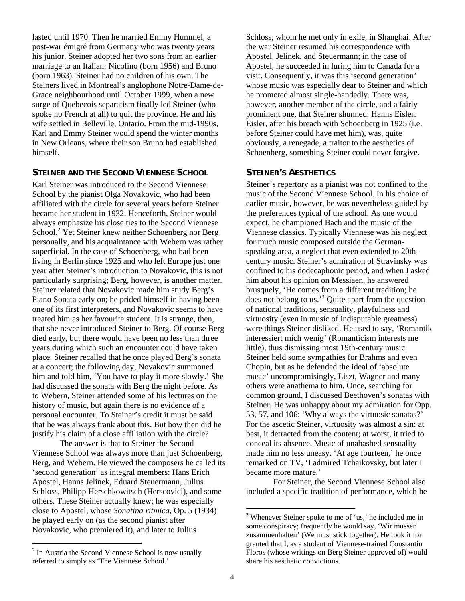lasted until 1970. Then he married Emmy Hummel, a post-war émigré from Germany who was twenty years his junior. Steiner adopted her two sons from an earlier marriage to an Italian: Nicolino (born 1956) and Bruno (born 1963). Steiner had no children of his own. The Steiners lived in Montreal's anglophone Notre-Dame-de-Grace neighbourhood until October 1999, when a new surge of Quebecois separatism finally led Steiner (who spoke no French at all) to quit the province. He and his wife settled in Belleville, Ontario. From the mid-1990s, Karl and Emmy Steiner would spend the winter months in New Orleans, where their son Bruno had established himself.

#### **STEINER AND THE SECOND VIENNESE SCHOOL**

Karl Steiner was introduced to the Second Viennese School by the pianist Olga Novakovic, who had been affiliated with the circle for several years before Steiner became her student in 1932. Henceforth, Steiner would always emphasize his close ties to the Second Viennese School.<sup>2</sup> Yet Steiner knew neither Schoenberg nor Berg personally, and his acquaintance with Webern was rather superficial. In the case of Schoenberg, who had been living in Berlin since 1925 and who left Europe just one year after Steiner's introduction to Novakovic, this is not particularly surprising; Berg, however, is another matter. Steiner related that Novakovic made him study Berg's Piano Sonata early on; he prided himself in having been one of its first interpreters, and Novakovic seems to have treated him as her favourite student. It is strange, then, that she never introduced Steiner to Berg. Of course Berg died early, but there would have been no less than three years during which such an encounter could have taken place. Steiner recalled that he once played Berg's sonata at a concert; the following day, Novakovic summoned him and told him, 'You have to play it more slowly.' She had discussed the sonata with Berg the night before. As to Webern, Steiner attended some of his lectures on the history of music, but again there is no evidence of a personal encounter. To Steiner's credit it must be said that he was always frank about this. But how then did he justify his claim of a close affiliation with the circle?

The answer is that to Steiner the Second Viennese School was always more than just Schoenberg, Berg, and Webern. He viewed the composers he called its 'second generation' as integral members: Hans Erich Apostel, Hanns Jelinek, Eduard Steuermann, Julius Schloss, Philipp Herschkowitsch (Herscovici), and some others. These Steiner actually knew; he was especially close to Apostel, whose *Sonatina ritmica*, Op. 5 (1934) he played early on (as the second pianist after Novakovic, who premiered it), and later to Julius

 $\overline{a}$ 

Schloss, whom he met only in exile, in Shanghai. After the war Steiner resumed his correspondence with Apostel, Jelinek, and Steuermann; in the case of Apostel, he succeeded in luring him to Canada for a visit. Consequently, it was this 'second generation' whose music was especially dear to Steiner and which he promoted almost single-handedly. There was, however, another member of the circle, and a fairly prominent one, that Steiner shunned: Hanns Eisler. Eisler, after his breach with Schoenberg in 1925 (i.e. before Steiner could have met him), was, quite obviously, a renegade, a traitor to the aesthetics of Schoenberg, something Steiner could never forgive.

#### **STEINER'S AESTHETICS**

Steiner's repertory as a pianist was not confined to the music of the Second Viennese School. In his choice of earlier music, however, he was nevertheless guided by the preferences typical of the school. As one would expect, he championed Bach and the music of the Viennese classics. Typically Viennese was his neglect for much music composed outside the Germanspeaking area, a neglect that even extended to 20thcentury music. Steiner's admiration of Stravinsky was confined to his dodecaphonic period, and when I asked him about his opinion on Messiaen, he answered brusquely, 'He comes from a different tradition; he does not belong to us.'<sup>3</sup> Quite apart from the question of national traditions, sensuality, playfulness and virtuosity (even in music of indisputable greatness) were things Steiner disliked. He used to say, 'Romantik interessiert mich wenig' (Romanticism interests me little), thus dismissing most 19th-century music. Steiner held some sympathies for Brahms and even Chopin, but as he defended the ideal of 'absolute music' uncompromisingly, Liszt, Wagner and many others were anathema to him. Once, searching for common ground, I discussed Beethoven's sonatas with Steiner. He was unhappy about my admiration for Opp. 53, 57, and 106: 'Why always the virtuosic sonatas?' For the ascetic Steiner, virtuosity was almost a sin: at best, it detracted from the content; at worst, it tried to conceal its absence. Music of unabashed sensuality made him no less uneasy. 'At age fourteen,' he once remarked on TV, 'I admired Tchaikovsky, but later I became more mature.'

For Steiner, the Second Viennese School also included a specific tradition of performance, which he

1

<sup>&</sup>lt;sup>2</sup> In Austria the Second Viennese School is now usually referred to simply as 'The Viennese School.'

<sup>&</sup>lt;sup>3</sup> Whenever Steiner spoke to me of 'us,' he included me in some conspiracy; frequently he would say, 'Wir müssen zusammenhalten' (We must stick together). He took it for granted that I, as a student of Viennese-trained Constantin Floros (whose writings on Berg Steiner approved of) would share his aesthetic convictions.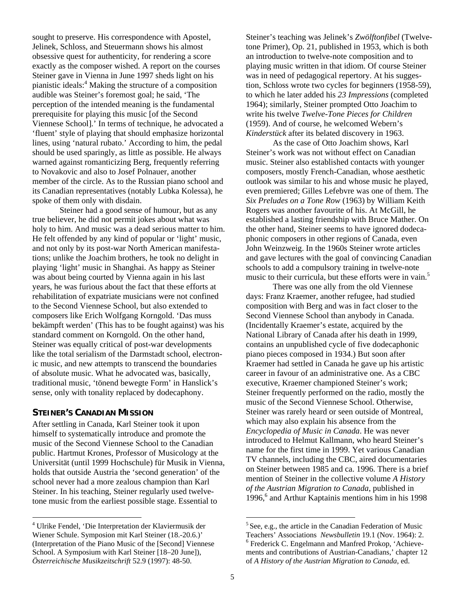sought to preserve. His correspondence with Apostel, Jelinek, Schloss, and Steuermann shows his almost obsessive quest for authenticity, for rendering a score exactly as the composer wished. A report on the courses Steiner gave in Vienna in June 1997 sheds light on his pianistic ideals:<sup>4</sup> Making the structure of a composition audible was Steiner's foremost goal; he said, 'The perception of the intended meaning is the fundamental prerequisite for playing this music [of the Second Viennese School].' In terms of technique, he advocated a 'fluent' style of playing that should emphasize horizontal lines, using 'natural rubato.' According to him, the pedal should be used sparingly, as little as possible. He always warned against romanticizing Berg, frequently referring to Novakovic and also to Josef Polnauer, another member of the circle. As to the Russian piano school and its Canadian representatives (notably Lubka Kolessa), he spoke of them only with disdain.

Steiner had a good sense of humour, but as any true believer, he did not permit jokes about what was holy to him. And music was a dead serious matter to him. He felt offended by any kind of popular or 'light' music, and not only by its post-war North American manifestations; unlike the Joachim brothers, he took no delight in playing 'light' music in Shanghai. As happy as Steiner was about being courted by Vienna again in his last years, he was furious about the fact that these efforts at rehabilitation of expatriate musicians were not confined to the Second Viennese School, but also extended to composers like Erich Wolfgang Korngold. 'Das muss bekämpft werden' (This has to be fought against) was his standard comment on Korngold. On the other hand, Steiner was equally critical of post-war developments like the total serialism of the Darmstadt school, electronic music, and new attempts to transcend the boundaries of absolute music. What he advocated was, basically, traditional music, 'tönend bewegte Form' in Hanslick's sense, only with tonality replaced by dodecaphony.

### **STEINER'S CANADIAN MISSION**

 $\overline{a}$ 

After settling in Canada, Karl Steiner took it upon himself to systematically introduce and promote the music of the Second Viennese School to the Canadian public. Hartmut Krones, Professor of Musicology at the Universität (until 1999 Hochschule) für Musik in Vienna, holds that outside Austria the 'second generation' of the school never had a more zealous champion than Karl Steiner. In his teaching, Steiner regularly used twelvetone music from the earliest possible stage. Essential to

Steiner's teaching was Jelinek's *Zwölftonfibel* (Twelvetone Primer), Op. 21, published in 1953, which is both an introduction to twelve-note composition and to playing music written in that idiom. Of course Steiner was in need of pedagogical repertory. At his suggestion, Schloss wrote two cycles for beginners (1958-59), to which he later added his *23 Impressions* (completed 1964); similarly, Steiner prompted Otto Joachim to write his twelve *Twelve-Tone Pieces for Children*  (1959). And of course, he welcomed Webern's *Kinderstück* after its belated discovery in 1963.

As the case of Otto Joachim shows, Karl Steiner's work was not without effect on Canadian music. Steiner also established contacts with younger composers, mostly French-Canadian, whose aesthetic outlook was similar to his and whose music he played, even premiered; Gilles Lefebvre was one of them. The *Six Preludes on a Tone Row* (1963) by William Keith Rogers was another favourite of his. At McGill, he established a lasting friendship with Bruce Mather. On the other hand, Steiner seems to have ignored dodecaphonic composers in other regions of Canada, even John Weinzweig. In the 1960s Steiner wrote articles and gave lectures with the goal of convincing Canadian schools to add a compulsory training in twelve-note music to their curricula, but these efforts were in vain.<sup>5</sup>

There was one ally from the old Viennese days: Franz Kraemer, another refugee, had studied composition with Berg and was in fact closer to the Second Viennese School than anybody in Canada. (Incidentally Kraemer's estate, acquired by the National Library of Canada after his death in 1999, contains an unpublished cycle of five dodecaphonic piano pieces composed in 1934.) But soon after Kraemer had settled in Canada he gave up his artistic career in favour of an administrative one. As a CBC executive, Kraemer championed Steiner's work; Steiner frequently performed on the radio, mostly the music of the Second Viennese School. Otherwise, Steiner was rarely heard or seen outside of Montreal, which may also explain his absence from the *Encyclopedia of Music in Canada*. He was never introduced to Helmut Kallmann, who heard Steiner's name for the first time in 1999. Yet various Canadian TV channels, including the CBC, aired documentaries on Steiner between 1985 and ca. 1996. There is a brief mention of Steiner in the collective volume *A History of the Austrian Migration to Canada*, published in 1996,<sup>6</sup> and Arthur Kaptainis mentions him in his 1998

 <sup>4</sup> Ulrike Fendel, 'Die Interpretation der Klaviermusik der Wiener Schule. Symposion mit Karl Steiner (18.-20.6.)' (Interpretation of the Piano Music of the [Second] Viennese School. A Symposium with Karl Steiner [18–20 June]), *Österreichische Musikzeitschrift* 52.9 (1997): 48-50.

 $5$  See, e.g., the article in the Canadian Federation of Music Teachers' Associations *Newsbulletin* 19.1 (Nov. 1964): 2. <sup>6</sup>

<sup>&</sup>lt;sup>6</sup> Frederick C. Engelmann and Manfred Prokop, 'Achievements and contributions of Austrian-Canadians,' chapter 12 of *A History of the Austrian Migration to Canada*, ed.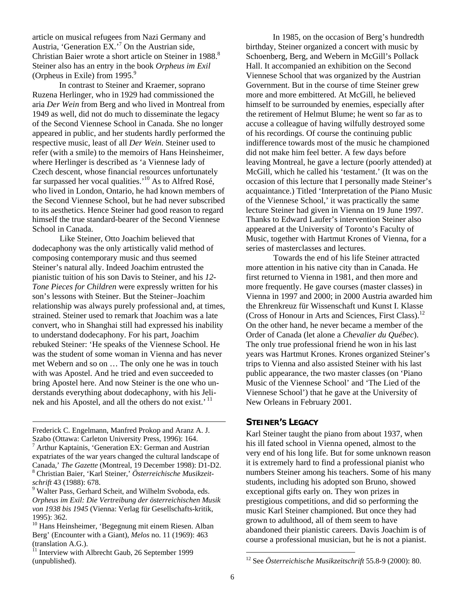article on musical refugees from Nazi Germany and Austria, 'Generation EX.'7 On the Austrian side, Christian Baier wrote a short article on Steiner in 1988.<sup>8</sup> Steiner also has an entry in the book *Orpheus im Exil*  (Orpheus in Exile) from  $1995.<sup>9</sup>$ 

In contrast to Steiner and Kraemer, soprano Ruzena Herlinger, who in 1929 had commissioned the aria *Der Wein* from Berg and who lived in Montreal from 1949 as well, did not do much to disseminate the legacy of the Second Viennese School in Canada. She no longer appeared in public, and her students hardly performed the respective music, least of all *Der Wein*. Steiner used to refer (with a smile) to the memoirs of Hans Heinsheimer, where Herlinger is described as 'a Viennese lady of Czech descent, whose financial resources unfortunately far surpassed her vocal qualities.'<sup>10</sup> As to Alfred Rosé, who lived in London, Ontario, he had known members of the Second Viennese School, but he had never subscribed to its aesthetics. Hence Steiner had good reason to regard himself the true standard-bearer of the Second Viennese School in Canada.

Like Steiner, Otto Joachim believed that dodecaphony was the only artistically valid method of composing contemporary music and thus seemed Steiner's natural ally. Indeed Joachim entrusted the pianistic tuition of his son Davis to Steiner, and his *12- Tone Pieces for Children* were expressly written for his son's lessons with Steiner. But the Steiner–Joachim relationship was always purely professional and, at times, strained. Steiner used to remark that Joachim was a late convert, who in Shanghai still had expressed his inability to understand dodecaphony. For his part, Joachim rebuked Steiner: 'He speaks of the Viennese School. He was the student of some woman in Vienna and has never met Webern and so on … The only one he was in touch with was Apostel. And he tried and even succeeded to bring Apostel here. And now Steiner is the one who understands everything about dodecaphony, with his Jelinek and his Apostel, and all the others do not exist.<sup>' 11</sup>

Frederick C. Engelmann, Manfred Prokop and Aranz A. J. Szabo (Ottawa: Carleton University Press, 1996): 164. 7 Arthur Kaptainis, 'Generation EX: German and Austrian expatriates of the war years changed the cultural landscape of Canada,' *The Gazette* (Montreal, 19 December 1998): D1-D2. 8 Christian Baier, 'Karl Steiner,' *Österreichische Musikzeitschrift* 43 (1988): 678. 9

 $\overline{a}$ 

In 1985, on the occasion of Berg's hundredth birthday, Steiner organized a concert with music by Schoenberg, Berg, and Webern in McGill's Pollack Hall. It accompanied an exhibition on the Second Viennese School that was organized by the Austrian Government. But in the course of time Steiner grew more and more embittered. At McGill, he believed himself to be surrounded by enemies, especially after the retirement of Helmut Blume; he went so far as to accuse a colleague of having wilfully destroyed some of his recordings. Of course the continuing public indifference towards most of the music he championed did not make him feel better. A few days before leaving Montreal, he gave a lecture (poorly attended) at McGill, which he called his 'testament.' (It was on the occasion of this lecture that I personally made Steiner's acquaintance.) Titled 'Interpretation of the Piano Music of the Viennese School,' it was practically the same lecture Steiner had given in Vienna on 19 June 1997. Thanks to Edward Laufer's intervention Steiner also appeared at the University of Toronto's Faculty of Music, together with Hartmut Krones of Vienna, for a series of masterclasses and lectures.

Towards the end of his life Steiner attracted more attention in his native city than in Canada. He first returned to Vienna in 1981, and then more and more frequently. He gave courses (master classes) in Vienna in 1997 and 2000; in 2000 Austria awarded him the Ehrenkreuz für Wissenschaft und Kunst I. Klasse (Cross of Honour in Arts and Sciences, First Class).<sup>12</sup> On the other hand, he never became a member of the Order of Canada (let alone a *Chevalier du Québec*). The only true professional friend he won in his last years was Hartmut Krones. Krones organized Steiner's trips to Vienna and also assisted Steiner with his last public appearance, the two master classes (on 'Piano Music of the Viennese School' and 'The Lied of the Viennese School') that he gave at the University of New Orleans in February 2001.

### **STEINER'S LEGACY**

Karl Steiner taught the piano from about 1937, when his ill fated school in Vienna opened, almost to the very end of his long life. But for some unknown reason it is extremely hard to find a professional pianist who numbers Steiner among his teachers. Some of his many students, including his adopted son Bruno, showed exceptional gifts early on. They won prizes in prestigious competitions, and did so performing the music Karl Steiner championed. But once they had grown to adulthood, all of them seem to have abandoned their pianistic careers. Davis Joachim is of course a professional musician, but he is not a pianist.

 $\overline{a}$ 

<sup>&</sup>lt;sup>9</sup> Walter Pass, Gerhard Scheit, and Wilhelm Svoboda, eds. *Orpheus im Exil: Die Vertreibung der österreichischen Musik von 1938 bis 1945* (Vienna: Verlag für Gesellschafts-kritik, 1995): 362.

<sup>&</sup>lt;sup>10</sup> Hans Heinsheimer, 'Begegnung mit einem Riesen. Alban Berg' (Encounter with a Giant), *Melos* no. 11 (1969): 463 (translation A.G.).

Interview with Albrecht Gaub, 26 September 1999 (unpublished).

<sup>12</sup> See *Österreichische Musikzeitschrift* 55.8-9 (2000): 80.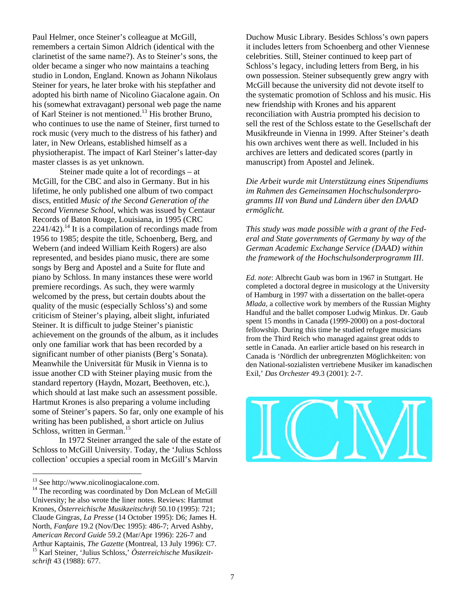Paul Helmer, once Steiner's colleague at McGill, remembers a certain Simon Aldrich (identical with the clarinetist of the same name?). As to Steiner's sons, the older became a singer who now maintains a teaching studio in London, England. Known as Johann Nikolaus Steiner for years, he later broke with his stepfather and adopted his birth name of Nicolino Giacalone again. On his (somewhat extravagant) personal web page the name of Karl Steiner is not mentioned.<sup>13</sup> His brother Bruno, who continues to use the name of Steiner, first turned to rock music (very much to the distress of his father) and later, in New Orleans, established himself as a physiotherapist. The impact of Karl Steiner's latter-day master classes is as yet unknown.

Steiner made quite a lot of recordings – at McGill, for the CBC and also in Germany. But in his lifetime, he only published one album of two compact discs, entitled *Music of the Second Generation of the Second Viennese School*, which was issued by Centaur Records of Baton Rouge, Louisiana, in 1995 (CRC  $2241/42$ ).<sup>14</sup> It is a compilation of recordings made from 1956 to 1985; despite the title, Schoenberg, Berg, and Webern (and indeed William Keith Rogers) are also represented, and besides piano music, there are some songs by Berg and Apostel and a Suite for flute and piano by Schloss. In many instances these were world premiere recordings. As such, they were warmly welcomed by the press, but certain doubts about the quality of the music (especially Schloss's) and some criticism of Steiner's playing, albeit slight, infuriated Steiner. It is difficult to judge Steiner's pianistic achievement on the grounds of the album, as it includes only one familiar work that has been recorded by a significant number of other pianists (Berg's Sonata). Meanwhile the Universität für Musik in Vienna is to issue another CD with Steiner playing music from the standard repertory (Haydn, Mozart, Beethoven, etc.), which should at last make such an assessment possible. Hartmut Krones is also preparing a volume including some of Steiner's papers. So far, only one example of his writing has been published, a short article on Julius Schloss, written in German.<sup>15</sup>

In 1972 Steiner arranged the sale of the estate of Schloss to McGill University. Today, the 'Julius Schloss collection' occupies a special room in McGill's Marvin

Duchow Music Library. Besides Schloss's own papers it includes letters from Schoenberg and other Viennese celebrities. Still, Steiner continued to keep part of Schloss's legacy, including letters from Berg, in his own possession. Steiner subsequently grew angry with McGill because the university did not devote itself to the systematic promotion of Schloss and his music. His new friendship with Krones and his apparent reconciliation with Austria prompted his decision to sell the rest of the Schloss estate to the Gesellschaft der Musikfreunde in Vienna in 1999. After Steiner's death his own archives went there as well. Included in his archives are letters and dedicated scores (partly in manuscript) from Apostel and Jelinek.

*Die Arbeit wurde mit Unterstützung eines Stipendiums im Rahmen des Gemeinsamen Hochschulsonderprogramms III von Bund und Ländern über den DAAD ermöglicht.* 

*This study was made possible with a grant of the Federal and State governments of Germany by way of the German Academic Exchange Service (DAAD) within the framework of the Hochschulsonderprogramm III*.

*Ed. note*: Albrecht Gaub was born in 1967 in Stuttgart. He completed a doctoral degree in musicology at the University of Hamburg in 1997 with a dissertation on the ballet-opera *Mlada*, a collective work by members of the Russian Mighty Handful and the ballet composer Ludwig Minkus. Dr. Gaub spent 15 months in Canada (1999-2000) on a post-doctoral fellowship. During this time he studied refugee musicians from the Third Reich who managed against great odds to settle in Canada. An earlier article based on his research in Canada is 'Nördlich der unbregrenzten Möglichkeiten: von den National-sozialisten vertriebene Musiker im kanadischen Exil,' *Das Orchester* 49.3 (2001): 2-7.



 $13$  See http://www.nicolinogiacalone.com.

 $14$  The recording was coordinated by Don McLean of McGill University; he also wrote the liner notes. Reviews: Hartmut Krones, *Österreichische Musikzeitschrift* 50.10 (1995): 721; Claude Gingras, *La Presse* (14 October 1995): D6; James H. North, *Fanfare* 19.2 (Nov/Dec 1995): 486-7; Arved Ashby, *American Record Guide* 59.2 (Mar/Apr 1996): 226-7 and Arthur Kaptainis, *The Gazette* (Montreal, 13 July 1996): C7. 15 Karl Steiner, 'Julius Schloss,' *Österreichische Musikzeitschrift* 43 (1988): 677.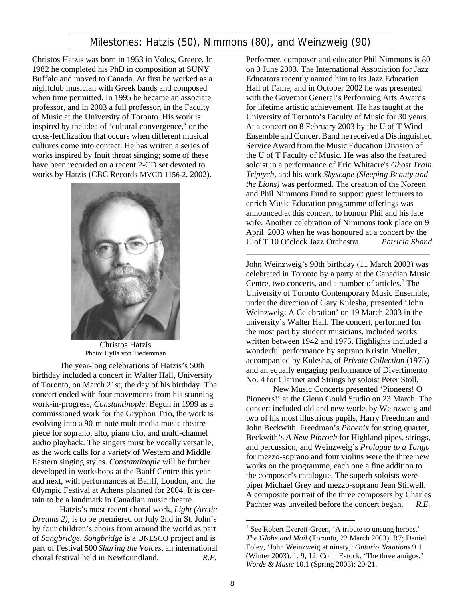## Milestones: Hatzis (50), Nimmons (80), and Weinzweig (90)

Christos Hatzis was born in 1953 in Volos, Greece. In 1982 he completed his PhD in composition at SUNY Buffalo and moved to Canada. At first he worked as a nightclub musician with Greek bands and composed when time permitted. In 1995 be became an associate professor, and in 2003 a full professor, in the Faculty of Music at the University of Toronto. His work is inspired by the idea of 'cultural convergence,' or the cross-fertilization that occurs when different musical cultures come into contact. He has written a series of works inspired by Inuit throat singing; some of these have been recorded on a recent 2-CD set devoted to works by Hatzis (CBC Records MVCD 1156-2, 2002).



Christos Hatzis Photo: Cylla von Tiedemman

The year-long celebrations of Hatzis's 50th birthday included a concert in Walter Hall, University of Toronto, on March 21st, the day of his birthday. The concert ended with four movements from his stunning work-in-progress, *Constantinople*. Begun in 1999 as a commissioned work for the Gryphon Trio, the work is evolving into a 90-minute multimedia music theatre piece for soprano, alto, piano trio, and multi-channel audio playback. The singers must be vocally versatile, as the work calls for a variety of Western and Middle Eastern singing styles. *Constantinople* will be further developed in workshops at the Banff Centre this year and next, with performances at Banff, London, and the Olympic Festival at Athens planned for 2004. It is certain to be a landmark in Canadian music theatre.

Hatzis's most recent choral work, *Light (Arctic Dreams 2)*, is to be premiered on July 2nd in St. John's by four children's choirs from around the world as part of *Songbridge*. *Songbridge* is a UNESCO project and is part of Festival 500 *Sharing the Voices*, an international choral festival held in Newfoundland. *R.E.*

Performer, composer and educator Phil Nimmons is 80 on 3 June 2003. The International Association for Jazz Educators recently named him to its Jazz Education Hall of Fame, and in October 2002 he was presented with the Governor General's Performing Arts Awards for lifetime artistic achievement. He has taught at the University of Toronto's Faculty of Music for 30 years. At a concert on 8 February 2003 by the U of T Wind Ensemble and Concert Band he received a Distinguished Service Award from the Music Education Division of the U of T Faculty of Music. He was also the featured soloist in a performance of Eric Whitacre's *Ghost Train Triptych*, and his work *Skyscape (Sleeping Beauty and the Lions)* was performed. The creation of the Noreen and Phil Nimmons Fund to support guest lecturers to enrich Music Education programme offerings was announced at this concert, to honour Phil and his late wife. Another celebration of Nimmons took place on 9 April 2003 when he was honoured at a concert by the U of T 10 O'clock Jazz Orchestra. *Patricia Shand* 

John Weinzweig's 90th birthday (11 March 2003) was celebrated in Toronto by a party at the Canadian Music Centre, two concerts, and a number of articles. $<sup>1</sup>$  The</sup> University of Toronto Contemporary Music Ensemble, under the direction of Gary Kulesha, presented 'John Weinzweig: A Celebration' on 19 March 2003 in the university's Walter Hall. The concert, performed for the most part by student musicians, included works written between 1942 and 1975. Highlights included a wonderful performance by soprano Kristin Mueller, accompanied by Kulesha, of *Private Collection* (1975) and an equally engaging performance of Divertimento No. 4 for Clarinet and Strings by soloist Peter Stoll.

\_\_\_\_\_\_\_\_\_\_\_\_\_\_\_\_\_\_\_\_\_\_\_\_\_\_\_\_\_\_\_\_\_\_\_\_\_\_\_\_\_\_\_\_

New Music Concerts presented 'Pioneers! O Pioneers!' at the Glenn Gould Studio on 23 March. The concert included old and new works by Weinzweig and two of his most illustrious pupils, Harry Freedman and John Beckwith. Freedman's *Phoenix* for string quartet, Beckwith's *A New Pibroch* for Highland pipes, strings, and percussion, and Weinzweig's *Prologue to a Tango* for mezzo-soprano and four violins were the three new works on the programme, each one a fine addition to the composer's catalogue. The superb soloists were piper Michael Grey and mezzo-soprano Jean Stilwell. A composite portrait of the three composers by Charles Pachter was unveiled before the concert began. *R.E.*

 $\overline{a}$ 

<sup>&</sup>lt;sup>1</sup> See Robert Everett-Green, 'A tribute to unsung heroes,' *The Globe and Mail* (Toronto, 22 March 2003): R7; Daniel Foley, 'John Weinzweig at ninety,' *Ontario Notations* 9.1 (Winter 2003): 1, 9, 12; Colin Eatock, 'The three amigos,' *Words & Music* 10.1 (Spring 2003): 20-21.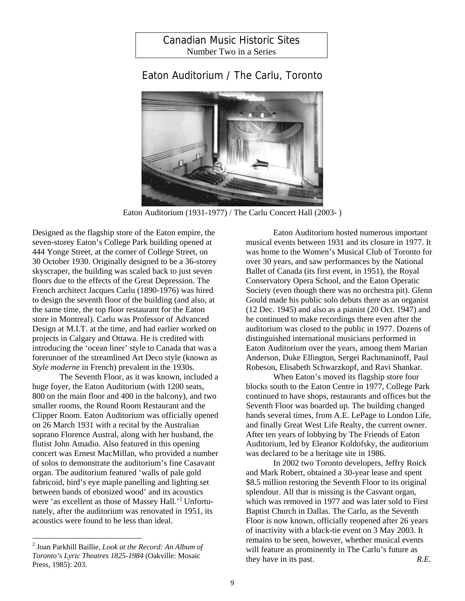## Canadian Music Historic Sites Number Two in a Series

## Eaton Auditorium / The Carlu, Toronto



Eaton Auditorium (1931-1977) / The Carlu Concert Hall (2003- )

Designed as the flagship store of the Eaton empire, the seven-storey Eaton's College Park building opened at 444 Yonge Street, at the corner of College Street, on 30 October 1930. Originally designed to be a 36-storey skyscraper, the building was scaled back to just seven floors due to the effects of the Great Depression. The French architect Jacques Carlu (1890-1976) was hired to design the seventh floor of the building (and also, at the same time, the top floor restaurant for the Eaton store in Montreal). Carlu was Professor of Advanced Design at M.I.T. at the time, and had earlier worked on projects in Calgary and Ottawa. He is credited with introducing the 'ocean liner' style to Canada that was a forerunner of the streamlined Art Deco style (known as *Style moderne* in French) prevalent in the 1930s.

The Seventh Floor, as it was known, included a huge foyer, the Eaton Auditorium (with 1200 seats, 800 on the main floor and 400 in the balcony), and two smaller rooms, the Round Room Restaurant and the Clipper Room. Eaton Auditorium was officially opened on 26 March 1931 with a recital by the Australian soprano Florence Austral, along with her husband, the flutist John Amadio. Also featured in this opening concert was Ernest MacMillan, who provided a number of solos to demonstrate the auditorium's fine Casavant organ. The auditorium featured 'walls of pale gold fabricoid, bird's eye maple panelling and lighting set between bands of ebonized wood' and its acoustics were 'as excellent as those of Massey Hall.'<sup>2</sup> Unfortunately, after the auditorium was renovated in 1951, its acoustics were found to be less than ideal.

 $\overline{a}$ 

Eaton Auditorium hosted numerous important musical events between 1931 and its closure in 1977. It was home to the Women's Musical Club of Toronto for over 30 years, and saw performances by the National Ballet of Canada (its first event, in 1951), the Royal Conservatory Opera School, and the Eaton Operatic Society (even though there was no orchestra pit). Glenn Gould made his public solo debuts there as an organist (12 Dec. 1945) and also as a pianist (20 Oct. 1947) and he continued to make recordings there even after the auditorium was closed to the public in 1977. Dozens of distinguished international musicians performed in Eaton Auditorium over the years, among them Marian Anderson, Duke Ellington, Sergei Rachmaninoff, Paul Robeson, Elisabeth Schwarzkopf, and Ravi Shankar.

When Eaton's moved its flagship store four blocks south to the Eaton Centre in 1977, College Park continued to have shops, restaurants and offices but the Seventh Floor was boarded up. The building changed hands several times, from A.E. LePage to London Life, and finally Great West Life Realty, the current owner. After ten years of lobbying by The Friends of Eaton Auditorium, led by Eleanor Koldofsky, the auditorium was declared to be a heritage site in 1986.

In 2002 two Toronto developers, Jeffry Roick and Mark Robert, obtained a 30-year lease and spent \$8.5 million restoring the Seventh Floor to its original splendour. All that is missing is the Casvant organ, which was removed in 1977 and was later sold to First Baptist Church in Dallas. The Carlu, as the Seventh Floor is now known, officially reopened after 26 years of inactivity with a black-tie event on 3 May 2003. It remains to be seen, however, whether musical events will feature as prominently in The Carlu's future as they have in its past. *R.E.*

<sup>2</sup> Joan Parkhill Baillie, *Look at the Record: An Album of Toronto's Lyric Theatres 1825-1984* (Oakville: Mosaic Press, 1985): 203.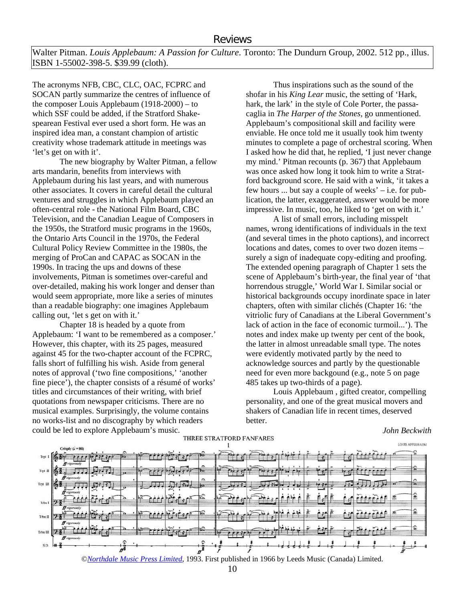Walter Pitman. *Louis Applebaum: A Passion for Culture*. Toronto: The Dundurn Group, 2002. 512 pp., illus. ISBN 1-55002-398-5. \$39.99 (cloth).

The acronyms NFB, CBC, CLC, OAC, FCPRC and SOCAN partly summarize the centres of influence of the composer Louis Applebaum (1918-2000) – to which SSF could be added, if the Stratford Shakespearean Festival ever used a short form. He was an inspired idea man, a constant champion of artistic creativity whose trademark attitude in meetings was 'let's get on with it'.

The new biography by Walter Pitman, a fellow arts mandarin, benefits from interviews with Applebaum during his last years, and with numerous other associates. It covers in careful detail the cultural ventures and struggles in which Applebaum played an often-central role - the National Film Board, CBC Television, and the Canadian League of Composers in the 1950s, the Stratford music programs in the 1960s, the Ontario Arts Council in the 1970s, the Federal Cultural Policy Review Committee in the 1980s, the merging of ProCan and CAPAC as SOCAN in the 1990s. In tracing the ups and downs of these involvements, Pitman is sometimes over-careful and over-detailed, making his work longer and denser than would seem appropriate, more like a series of minutes than a readable biography: one imagines Applebaum calling out, 'let s get on with it.'

Chapter 18 is headed by a quote from Applebaum: 'I want to be remembered as a composer.' However, this chapter, with its 25 pages, measured against 45 for the two-chapter account of the FCPRC, falls short of fulfilling his wish. Aside from general notes of approval ('two fine compositions,' 'another fine piece'), the chapter consists of a résumé of works' titles and circumstances of their writing, with brief quotations from newspaper criticisms. There are no musical examples. Surprisingly, the volume contains no works-list and no discography by which readers could be led to explore Applebaum's music.

Thus inspirations such as the sound of the shofar in his *King Lear* music, the setting of 'Hark, hark, the lark' in the style of Cole Porter, the passacaglia in *The Harper of the Stones*, go unmentioned. Applebaum's compositional skill and facility were enviable. He once told me it usually took him twenty minutes to complete a page of orchestral scoring. When I asked how he did that, he replied, 'I just never change my mind.' Pitman recounts (p. 367) that Applebaum was once asked how long it took him to write a Stratford background score. He said with a wink, 'it takes a few hours ... but say a couple of weeks' – i.e. for publication, the latter, exaggerated, answer would be more impressive. In music, too, he liked to 'get on with it.'

A list of small errors, including misspelt names, wrong identifications of individuals in the text (and several times in the photo captions), and incorrect locations and dates, comes to over two dozen items – surely a sign of inadequate copy-editing and proofing. The extended opening paragraph of Chapter 1 sets the scene of Applebaum's birth-year, the final year of 'that horrendous struggle,' World War I. Similar social or historical backgrounds occupy inordinate space in later chapters, often with similar clichés (Chapter 16: 'the vitriolic fury of Canadians at the Liberal Government's lack of action in the face of economic turmoil...'). The notes and index make up twenty per cent of the book, the latter in almost unreadable small type. The notes were evidently motivated partly by the need to acknowledge sources and partly by the questionable need for even more backgound (e.g., note 5 on page 485 takes up two-thirds of a page).

Louis Applebaum , gifted creator, compelling personality, and one of the great musical movers and shakers of Canadian life in recent times, deserved better.



#### ©*Northdale Music Press Limited*, 1993. First published in 1966 by Leeds Music (Canada) Limited.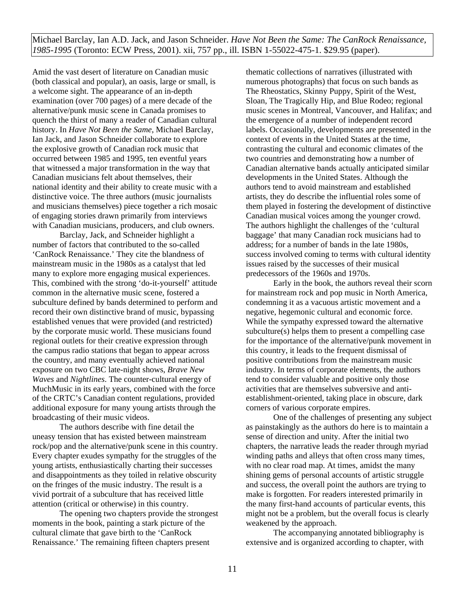Michael Barclay, Ian A.D. Jack, and Jason Schneider. *Have Not Been the Same: The CanRock Renaissance, 1985-1995* (Toronto: ECW Press, 2001). xii, 757 pp., ill. ISBN 1-55022-475-1. \$29.95 (paper).

Amid the vast desert of literature on Canadian music (both classical and popular), an oasis, large or small, is a welcome sight. The appearance of an in-depth examination (over 700 pages) of a mere decade of the alternative/punk music scene in Canada promises to quench the thirst of many a reader of Canadian cultural history. In *Have Not Been the Same*, Michael Barclay, Ian Jack, and Jason Schneider collaborate to explore the explosive growth of Canadian rock music that occurred between 1985 and 1995, ten eventful years that witnessed a major transformation in the way that Canadian musicians felt about themselves, their national identity and their ability to create music with a distinctive voice. The three authors (music journalists and musicians themselves) piece together a rich mosaic of engaging stories drawn primarily from interviews with Canadian musicians, producers, and club owners.

Barclay, Jack, and Schneider highlight a number of factors that contributed to the so-called 'CanRock Renaissance.' They cite the blandness of mainstream music in the 1980s as a catalyst that led many to explore more engaging musical experiences. This, combined with the strong 'do-it-yourself' attitude common in the alternative music scene, fostered a subculture defined by bands determined to perform and record their own distinctive brand of music, bypassing established venues that were provided (and restricted) by the corporate music world. These musicians found regional outlets for their creative expression through the campus radio stations that began to appear across the country, and many eventually achieved national exposure on two CBC late-night shows, *Brave New Waves* and *Nightlines*. The counter-cultural energy of MuchMusic in its early years, combined with the force of the CRTC's Canadian content regulations, provided additional exposure for many young artists through the broadcasting of their music videos.

The authors describe with fine detail the uneasy tension that has existed between mainstream rock/pop and the alternative/punk scene in this country. Every chapter exudes sympathy for the struggles of the young artists, enthusiastically charting their successes and disappointments as they toiled in relative obscurity on the fringes of the music industry. The result is a vivid portrait of a subculture that has received little attention (critical or otherwise) in this country.

The opening two chapters provide the strongest moments in the book, painting a stark picture of the cultural climate that gave birth to the 'CanRock Renaissance.' The remaining fifteen chapters present

thematic collections of narratives (illustrated with numerous photographs) that focus on such bands as The Rheostatics, Skinny Puppy, Spirit of the West, Sloan, The Tragically Hip, and Blue Rodeo; regional music scenes in Montreal, Vancouver, and Halifax; and the emergence of a number of independent record labels. Occasionally, developments are presented in the context of events in the United States at the time, contrasting the cultural and economic climates of the two countries and demonstrating how a number of Canadian alternative bands actually anticipated similar developments in the United States. Although the authors tend to avoid mainstream and established artists, they do describe the influential roles some of them played in fostering the development of distinctive Canadian musical voices among the younger crowd. The authors highlight the challenges of the 'cultural baggage' that many Canadian rock musicians had to address; for a number of bands in the late 1980s, success involved coming to terms with cultural identity issues raised by the successes of their musical predecessors of the 1960s and 1970s.

Early in the book, the authors reveal their scorn for mainstream rock and pop music in North America, condemning it as a vacuous artistic movement and a negative, hegemonic cultural and economic force. While the sympathy expressed toward the alternative subculture(s) helps them to present a compelling case for the importance of the alternative/punk movement in this country, it leads to the frequent dismissal of positive contributions from the mainstream music industry. In terms of corporate elements, the authors tend to consider valuable and positive only those activities that are themselves subversive and antiestablishment-oriented, taking place in obscure, dark corners of various corporate empires.

One of the challenges of presenting any subject as painstakingly as the authors do here is to maintain a sense of direction and unity. After the initial two chapters, the narrative leads the reader through myriad winding paths and alleys that often cross many times, with no clear road map. At times, amidst the many shining gems of personal accounts of artistic struggle and success, the overall point the authors are trying to make is forgotten. For readers interested primarily in the many first-hand accounts of particular events, this might not be a problem, but the overall focus is clearly weakened by the approach.

The accompanying annotated bibliography is extensive and is organized according to chapter, with